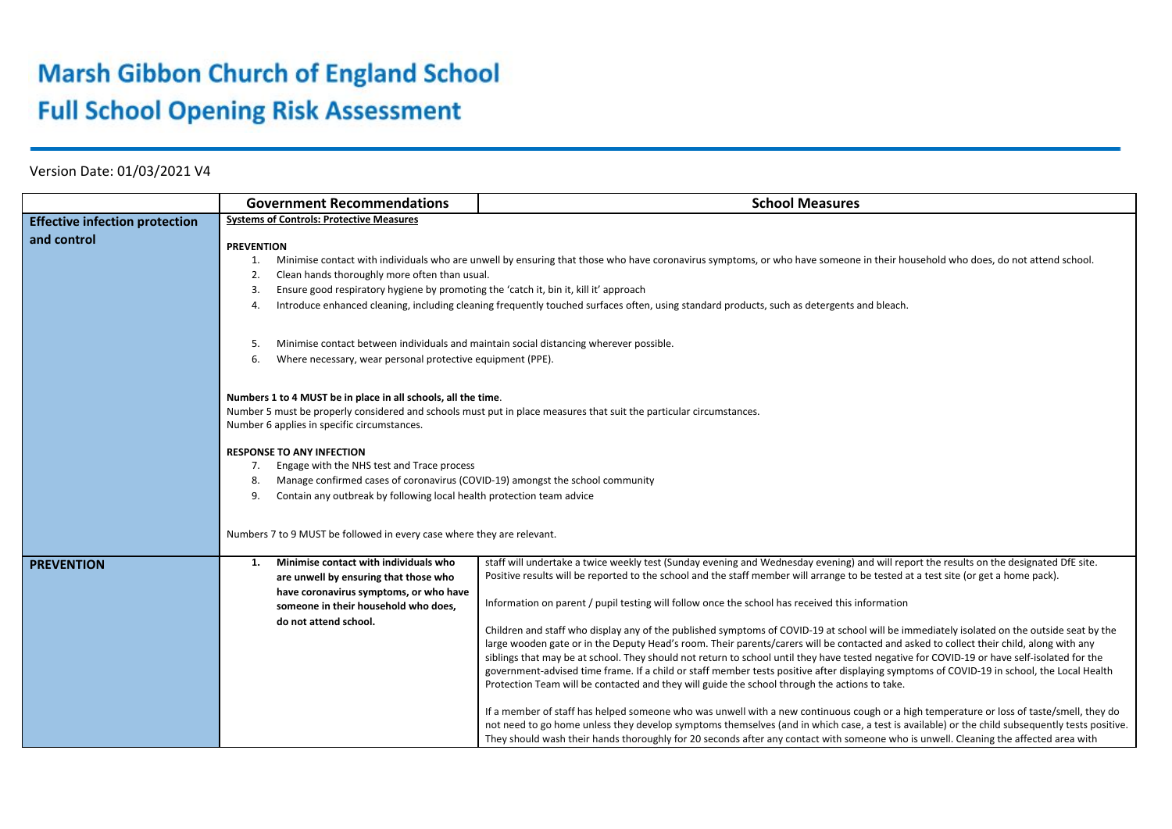## **Marsh Gibbon Church of England School Full School Opening Risk Assessment**

Version Date: 01/03/2021 V4

|                                       | <b>Government Recommendations</b>                                                                                                                                                                                                                                                                                                                                                                                                                                                                                  | <b>School Measures</b>                                                                                                                                                                                                                                                                                                                                                                                                                                                                                                                                                                                                                                                                                                                                                                                                           |
|---------------------------------------|--------------------------------------------------------------------------------------------------------------------------------------------------------------------------------------------------------------------------------------------------------------------------------------------------------------------------------------------------------------------------------------------------------------------------------------------------------------------------------------------------------------------|----------------------------------------------------------------------------------------------------------------------------------------------------------------------------------------------------------------------------------------------------------------------------------------------------------------------------------------------------------------------------------------------------------------------------------------------------------------------------------------------------------------------------------------------------------------------------------------------------------------------------------------------------------------------------------------------------------------------------------------------------------------------------------------------------------------------------------|
| <b>Effective infection protection</b> | <b>Systems of Controls: Protective Measures</b>                                                                                                                                                                                                                                                                                                                                                                                                                                                                    |                                                                                                                                                                                                                                                                                                                                                                                                                                                                                                                                                                                                                                                                                                                                                                                                                                  |
| and control                           | <b>PREVENTION</b><br>Minimise contact with individuals who are unwell by ensuring that those who have coronavirus symptoms, or who have someone in their household who does, do not attend school.<br>1.<br>Clean hands thoroughly more often than usual.<br>2.<br>Ensure good respiratory hygiene by promoting the 'catch it, bin it, kill it' approach<br>3.<br>Introduce enhanced cleaning, including cleaning frequently touched surfaces often, using standard products, such as detergents and bleach.<br>4. |                                                                                                                                                                                                                                                                                                                                                                                                                                                                                                                                                                                                                                                                                                                                                                                                                                  |
|                                       | Minimise contact between individuals and maintain social distancing wherever possible.<br>-5.<br>Where necessary, wear personal protective equipment (PPE).<br>6.                                                                                                                                                                                                                                                                                                                                                  |                                                                                                                                                                                                                                                                                                                                                                                                                                                                                                                                                                                                                                                                                                                                                                                                                                  |
|                                       | Numbers 1 to 4 MUST be in place in all schools, all the time.<br>Number 6 applies in specific circumstances.                                                                                                                                                                                                                                                                                                                                                                                                       | Number 5 must be properly considered and schools must put in place measures that suit the particular circumstances.                                                                                                                                                                                                                                                                                                                                                                                                                                                                                                                                                                                                                                                                                                              |
|                                       | <b>RESPONSE TO ANY INFECTION</b><br>Engage with the NHS test and Trace process<br>7.<br>Manage confirmed cases of coronavirus (COVID-19) amongst the school community<br>8.<br>Contain any outbreak by following local health protection team advice<br>9.                                                                                                                                                                                                                                                         |                                                                                                                                                                                                                                                                                                                                                                                                                                                                                                                                                                                                                                                                                                                                                                                                                                  |
|                                       | Numbers 7 to 9 MUST be followed in every case where they are relevant.                                                                                                                                                                                                                                                                                                                                                                                                                                             |                                                                                                                                                                                                                                                                                                                                                                                                                                                                                                                                                                                                                                                                                                                                                                                                                                  |
| <b>PREVENTION</b>                     | Minimise contact with individuals who<br>$\mathbf{1}$<br>are unwell by ensuring that those who<br>have coronavirus symptoms, or who have<br>someone in their household who does.<br>do not attend school.                                                                                                                                                                                                                                                                                                          | staff will undertake a twice weekly test (Sunday evening and Wednesday evening) and will report the results on the designated DfE site.<br>Positive results will be reported to the school and the staff member will arrange to be tested at a test site (or get a home pack).<br>Information on parent / pupil testing will follow once the school has received this information<br>Children and staff who display any of the published symptoms of COVID-19 at school will be immediately isolated on the outside seat by the<br>large wooden gate or in the Deputy Head's room. Their parents/carers will be contacted and asked to collect their child, along with any                                                                                                                                                       |
|                                       |                                                                                                                                                                                                                                                                                                                                                                                                                                                                                                                    | siblings that may be at school. They should not return to school until they have tested negative for COVID-19 or have self-isolated for the<br>government-advised time frame. If a child or staff member tests positive after displaying symptoms of COVID-19 in school, the Local Health<br>Protection Team will be contacted and they will guide the school through the actions to take.<br>If a member of staff has helped someone who was unwell with a new continuous cough or a high temperature or loss of taste/smell, they do<br>not need to go home unless they develop symptoms themselves (and in which case, a test is available) or the child subsequently tests positive.<br>They should wash their hands thoroughly for 20 seconds after any contact with someone who is unwell. Cleaning the affected area with |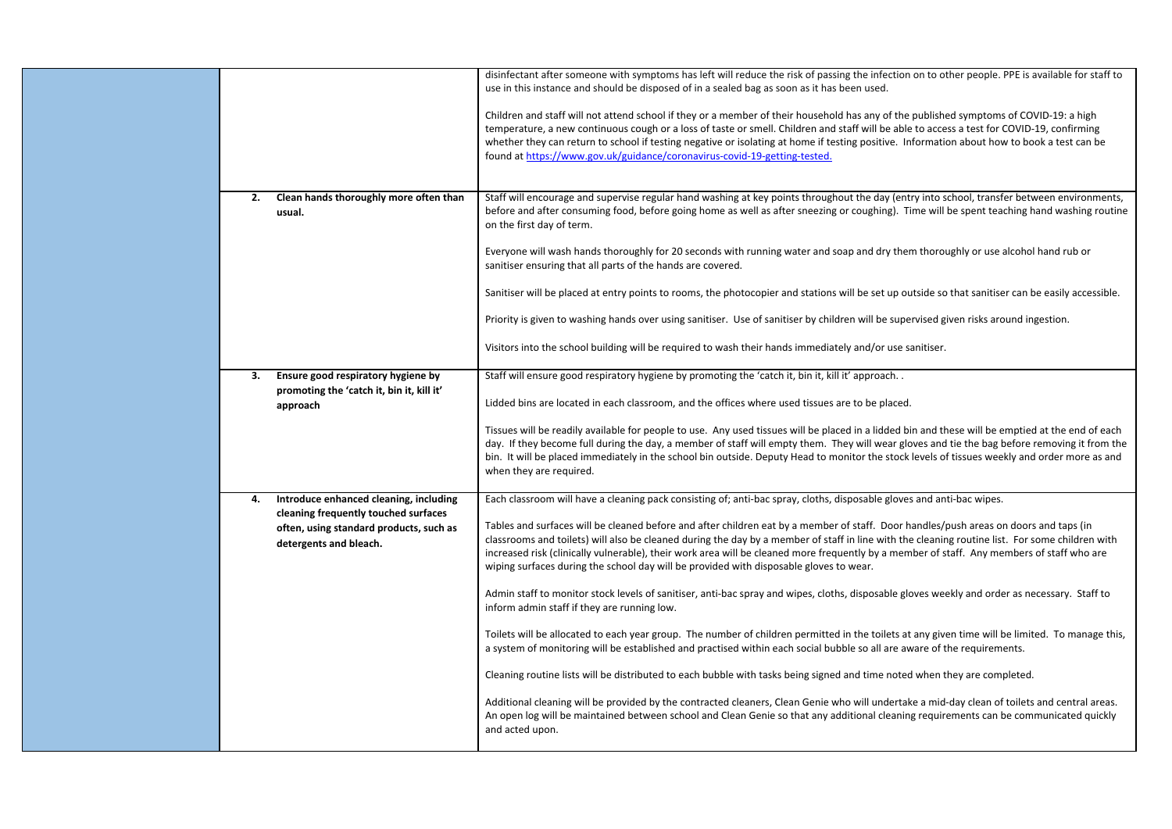|    |                                                                                                           | disinfectant after someone with symptoms has left will reduce the risk of passing the infection on to other people. PPE is available for staff to<br>use in this instance and should be disposed of in a sealed bag as soon as it has been used.                                                                                                                                                                                                                                                                                 |
|----|-----------------------------------------------------------------------------------------------------------|----------------------------------------------------------------------------------------------------------------------------------------------------------------------------------------------------------------------------------------------------------------------------------------------------------------------------------------------------------------------------------------------------------------------------------------------------------------------------------------------------------------------------------|
|    |                                                                                                           | Children and staff will not attend school if they or a member of their household has any of the published symptoms of COVID-19: a high<br>temperature, a new continuous cough or a loss of taste or smell. Children and staff will be able to access a test for COVID-19, confirming<br>whether they can return to school if testing negative or isolating at home if testing positive. Information about how to book a test can be<br>found at https://www.gov.uk/guidance/coronavirus-covid-19-getting-tested.                 |
|    |                                                                                                           |                                                                                                                                                                                                                                                                                                                                                                                                                                                                                                                                  |
| 2. | Clean hands thoroughly more often than<br>usual.                                                          | Staff will encourage and supervise regular hand washing at key points throughout the day (entry into school, transfer between environments,<br>before and after consuming food, before going home as well as after sneezing or coughing). Time will be spent teaching hand washing routine<br>on the first day of term.                                                                                                                                                                                                          |
|    |                                                                                                           | Everyone will wash hands thoroughly for 20 seconds with running water and soap and dry them thoroughly or use alcohol hand rub or<br>sanitiser ensuring that all parts of the hands are covered.                                                                                                                                                                                                                                                                                                                                 |
|    |                                                                                                           | Sanitiser will be placed at entry points to rooms, the photocopier and stations will be set up outside so that sanitiser can be easily accessible.                                                                                                                                                                                                                                                                                                                                                                               |
|    |                                                                                                           | Priority is given to washing hands over using sanitiser. Use of sanitiser by children will be supervised given risks around ingestion.                                                                                                                                                                                                                                                                                                                                                                                           |
|    |                                                                                                           | Visitors into the school building will be required to wash their hands immediately and/or use sanitiser.                                                                                                                                                                                                                                                                                                                                                                                                                         |
| 3. | Ensure good respiratory hygiene by                                                                        | Staff will ensure good respiratory hygiene by promoting the 'catch it, bin it, kill it' approach                                                                                                                                                                                                                                                                                                                                                                                                                                 |
|    | promoting the 'catch it, bin it, kill it'<br>approach                                                     | Lidded bins are located in each classroom, and the offices where used tissues are to be placed.                                                                                                                                                                                                                                                                                                                                                                                                                                  |
|    |                                                                                                           | Tissues will be readily available for people to use. Any used tissues will be placed in a lidded bin and these will be emptied at the end of each<br>day. If they become full during the day, a member of staff will empty them. They will wear gloves and tie the bag before removing it from the<br>bin. It will be placed immediately in the school bin outside. Deputy Head to monitor the stock levels of tissues weekly and order more as and<br>when they are required.                                                   |
| 4. | Introduce enhanced cleaning, including                                                                    | Each classroom will have a cleaning pack consisting of; anti-bac spray, cloths, disposable gloves and anti-bac wipes.                                                                                                                                                                                                                                                                                                                                                                                                            |
|    | cleaning frequently touched surfaces<br>often, using standard products, such as<br>detergents and bleach. | Tables and surfaces will be cleaned before and after children eat by a member of staff. Door handles/push areas on doors and taps (in<br>classrooms and toilets) will also be cleaned during the day by a member of staff in line with the cleaning routine list. For some children with<br>increased risk (clinically vulnerable), their work area will be cleaned more frequently by a member of staff. Any members of staff who are<br>wiping surfaces during the school day will be provided with disposable gloves to wear. |
|    |                                                                                                           | Admin staff to monitor stock levels of sanitiser, anti-bac spray and wipes, cloths, disposable gloves weekly and order as necessary. Staff to<br>inform admin staff if they are running low.                                                                                                                                                                                                                                                                                                                                     |
|    |                                                                                                           | Toilets will be allocated to each year group. The number of children permitted in the toilets at any given time will be limited. To manage this,<br>a system of monitoring will be established and practised within each social bubble so all are aware of the requirements.                                                                                                                                                                                                                                                     |
|    |                                                                                                           | Cleaning routine lists will be distributed to each bubble with tasks being signed and time noted when they are completed.                                                                                                                                                                                                                                                                                                                                                                                                        |
|    |                                                                                                           | Additional cleaning will be provided by the contracted cleaners, Clean Genie who will undertake a mid-day clean of toilets and central areas.<br>An open log will be maintained between school and Clean Genie so that any additional cleaning requirements can be communicated quickly<br>and acted upon.                                                                                                                                                                                                                       |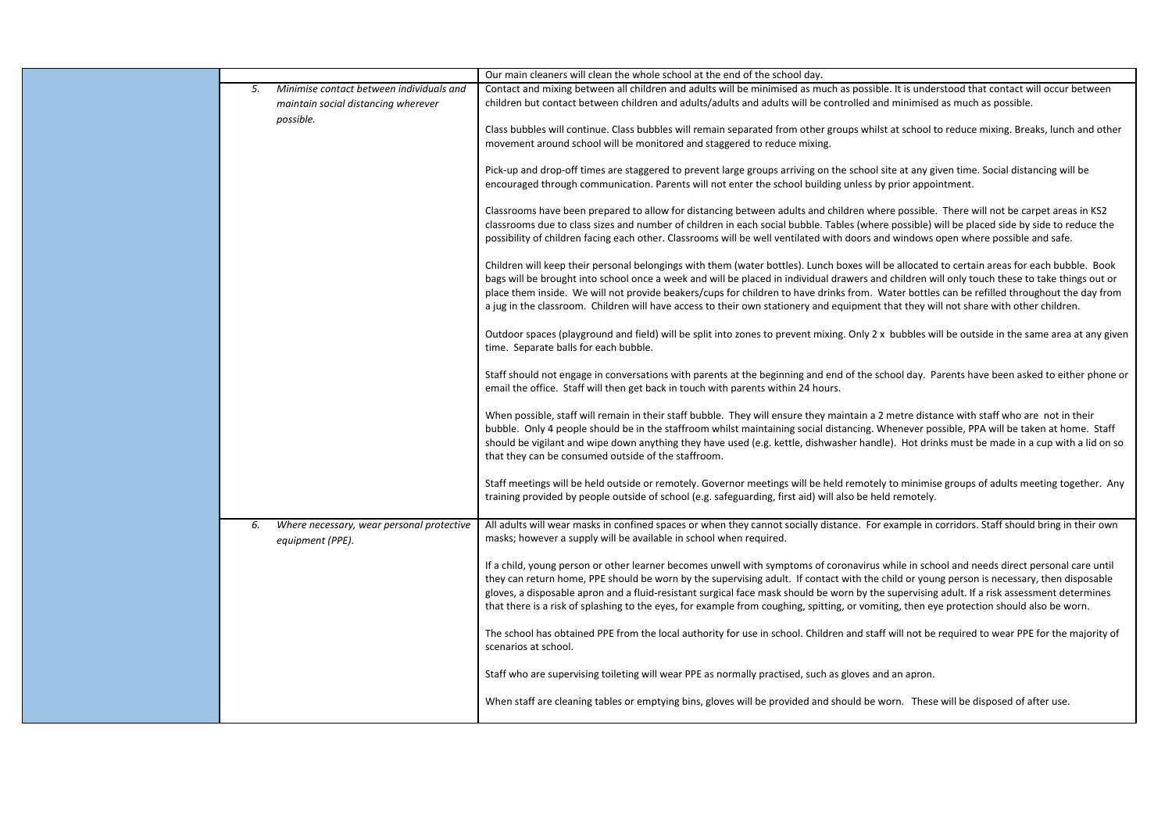|    |                                                               | Our main cleaners will clean the whole school at the end of the school day.                                                                                                                                                                                                                                                                                                                                                                                                                                                                                                            |
|----|---------------------------------------------------------------|----------------------------------------------------------------------------------------------------------------------------------------------------------------------------------------------------------------------------------------------------------------------------------------------------------------------------------------------------------------------------------------------------------------------------------------------------------------------------------------------------------------------------------------------------------------------------------------|
| 5. | Minimise contact between individuals and                      | Contact and mixing between all children and adults will be minimised as much as possible. It is understood that contact will occur between                                                                                                                                                                                                                                                                                                                                                                                                                                             |
|    | maintain social distancing wherever                           | children but contact between children and adults/adults and adults will be controlled and minimised as much as possible.                                                                                                                                                                                                                                                                                                                                                                                                                                                               |
|    | possible.                                                     | Class bubbles will continue. Class bubbles will remain separated from other groups whilst at school to reduce mixing. Breaks, lunch and other<br>movement around school will be monitored and staggered to reduce mixing.                                                                                                                                                                                                                                                                                                                                                              |
|    |                                                               | Pick-up and drop-off times are staggered to prevent large groups arriving on the school site at any given time. Social distancing will be<br>encouraged through communication. Parents will not enter the school building unless by prior appointment.                                                                                                                                                                                                                                                                                                                                 |
|    |                                                               | Classrooms have been prepared to allow for distancing between adults and children where possible. There will not be carpet areas in KS2<br>classrooms due to class sizes and number of children in each social bubble. Tables (where possible) will be placed side by side to reduce the<br>possibility of children facing each other. Classrooms will be well ventilated with doors and windows open where possible and safe.                                                                                                                                                         |
|    |                                                               | Children will keep their personal belongings with them (water bottles). Lunch boxes will be allocated to certain areas for each bubble. Book<br>bags will be brought into school once a week and will be placed in individual drawers and children will only touch these to take things out or<br>place them inside. We will not provide beakers/cups for children to have drinks from. Water bottles can be refilled throughout the day from<br>a jug in the classroom. Children will have access to their own stationery and equipment that they will not share with other children. |
|    |                                                               | Outdoor spaces (playground and field) will be split into zones to prevent mixing. Only 2 x bubbles will be outside in the same area at any given<br>time. Separate balls for each bubble.                                                                                                                                                                                                                                                                                                                                                                                              |
|    |                                                               | Staff should not engage in conversations with parents at the beginning and end of the school day. Parents have been asked to either phone or<br>email the office. Staff will then get back in touch with parents within 24 hours.                                                                                                                                                                                                                                                                                                                                                      |
|    |                                                               | When possible, staff will remain in their staff bubble. They will ensure they maintain a 2 metre distance with staff who are not in their<br>bubble. Only 4 people should be in the staffroom whilst maintaining social distancing. Whenever possible, PPA will be taken at home. Staff<br>should be vigilant and wipe down anything they have used (e.g. kettle, dishwasher handle). Hot drinks must be made in a cup with a lid on so<br>that they can be consumed outside of the staffroom.                                                                                         |
|    |                                                               | Staff meetings will be held outside or remotely. Governor meetings will be held remotely to minimise groups of adults meeting together. Any<br>training provided by people outside of school (e.g. safeguarding, first aid) will also be held remotely.                                                                                                                                                                                                                                                                                                                                |
| 6. | Where necessary, wear personal protective<br>equipment (PPE). | All adults will wear masks in confined spaces or when they cannot socially distance. For example in corridors. Staff should bring in their own<br>masks; however a supply will be available in school when required.                                                                                                                                                                                                                                                                                                                                                                   |
|    |                                                               | If a child, young person or other learner becomes unwell with symptoms of coronavirus while in school and needs direct personal care until<br>they can return home, PPE should be worn by the supervising adult. If contact with the child or young person is necessary, then disposable<br>gloves, a disposable apron and a fluid-resistant surgical face mask should be worn by the supervising adult. If a risk assessment determines<br>that there is a risk of splashing to the eyes, for example from coughing, spitting, or vomiting, then eye protection should also be worn.  |
|    |                                                               | The school has obtained PPE from the local authority for use in school. Children and staff will not be required to wear PPE for the majority of<br>scenarios at school.                                                                                                                                                                                                                                                                                                                                                                                                                |
|    |                                                               | Staff who are supervising toileting will wear PPE as normally practised, such as gloves and an apron.                                                                                                                                                                                                                                                                                                                                                                                                                                                                                  |
|    |                                                               | When staff are cleaning tables or emptying bins, gloves will be provided and should be worn. These will be disposed of after use.                                                                                                                                                                                                                                                                                                                                                                                                                                                      |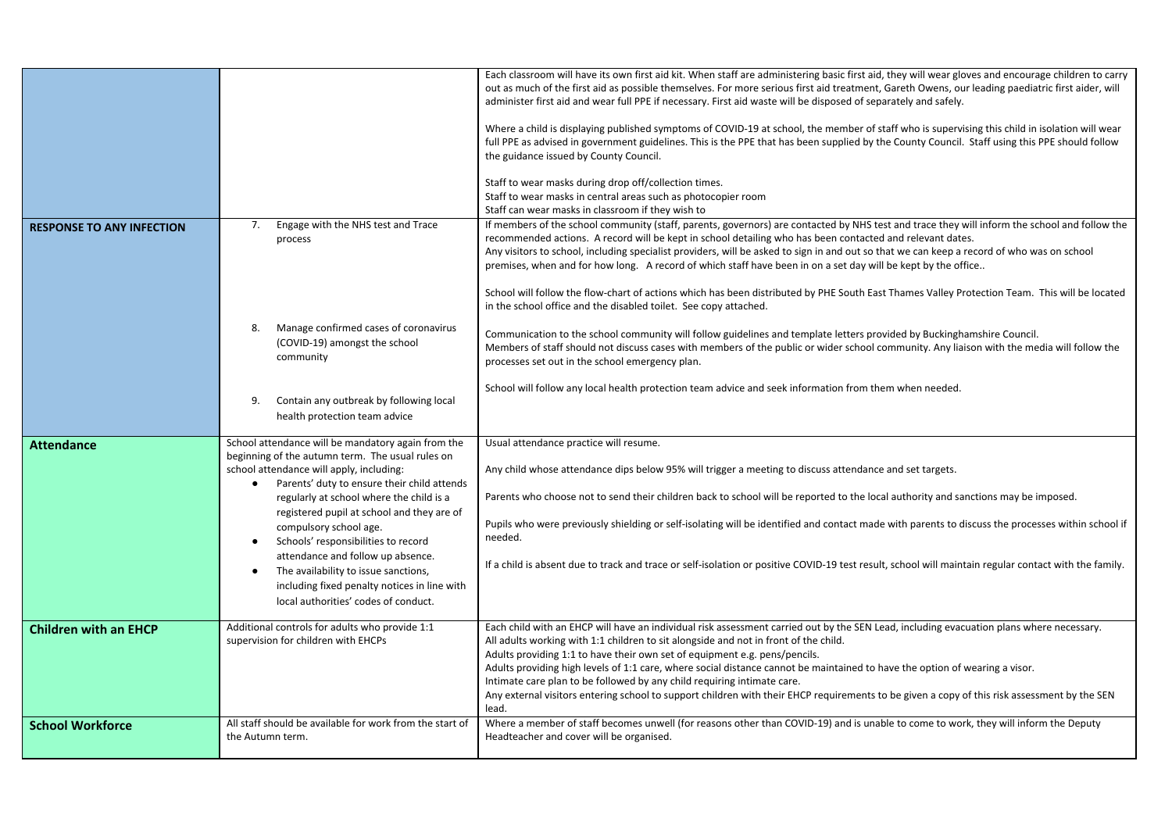|                                  |                                                                                                                                                                   | Each classroom will have its own first aid kit. When staff are administering basic first aid, they will wear gloves and encourage children to carry<br>out as much of the first aid as possible themselves. For more serious first aid treatment, Gareth Owens, our leading paediatric first aider, will<br>administer first aid and wear full PPE if necessary. First aid waste will be disposed of separately and safely.<br>Where a child is displaying published symptoms of COVID-19 at school, the member of staff who is supervising this child in isolation will wear<br>full PPE as advised in government guidelines. This is the PPE that has been supplied by the County Council. Staff using this PPE should follow<br>the guidance issued by County Council.<br>Staff to wear masks during drop off/collection times.<br>Staff to wear masks in central areas such as photocopier room<br>Staff can wear masks in classroom if they wish to |
|----------------------------------|-------------------------------------------------------------------------------------------------------------------------------------------------------------------|----------------------------------------------------------------------------------------------------------------------------------------------------------------------------------------------------------------------------------------------------------------------------------------------------------------------------------------------------------------------------------------------------------------------------------------------------------------------------------------------------------------------------------------------------------------------------------------------------------------------------------------------------------------------------------------------------------------------------------------------------------------------------------------------------------------------------------------------------------------------------------------------------------------------------------------------------------|
| <b>RESPONSE TO ANY INFECTION</b> | Engage with the NHS test and Trace<br>7.<br>process                                                                                                               | If members of the school community (staff, parents, governors) are contacted by NHS test and trace they will inform the school and follow the<br>recommended actions. A record will be kept in school detailing who has been contacted and relevant dates.<br>Any visitors to school, including specialist providers, will be asked to sign in and out so that we can keep a record of who was on school<br>premises, when and for how long. A record of which staff have been in on a set day will be kept by the office<br>School will follow the flow-chart of actions which has been distributed by PHE South East Thames Valley Protection Team. This will be located<br>in the school office and the disabled toilet. See copy attached.                                                                                                                                                                                                           |
|                                  | Manage confirmed cases of coronavirus<br>8.<br>(COVID-19) amongst the school<br>community                                                                         | Communication to the school community will follow guidelines and template letters provided by Buckinghamshire Council.<br>Members of staff should not discuss cases with members of the public or wider school community. Any liaison with the media will follow the<br>processes set out in the school emergency plan.<br>School will follow any local health protection team advice and seek information from them when needed.                                                                                                                                                                                                                                                                                                                                                                                                                                                                                                                        |
|                                  | Contain any outbreak by following local<br>9.<br>health protection team advice                                                                                    |                                                                                                                                                                                                                                                                                                                                                                                                                                                                                                                                                                                                                                                                                                                                                                                                                                                                                                                                                          |
| <b>Attendance</b>                | School attendance will be mandatory again from the<br>beginning of the autumn term. The usual rules on                                                            | Usual attendance practice will resume.                                                                                                                                                                                                                                                                                                                                                                                                                                                                                                                                                                                                                                                                                                                                                                                                                                                                                                                   |
|                                  | school attendance will apply, including:                                                                                                                          | Any child whose attendance dips below 95% will trigger a meeting to discuss attendance and set targets.                                                                                                                                                                                                                                                                                                                                                                                                                                                                                                                                                                                                                                                                                                                                                                                                                                                  |
|                                  | Parents' duty to ensure their child attends<br>$\bullet$<br>regularly at school where the child is a<br>registered pupil at school and they are of                | Parents who choose not to send their children back to school will be reported to the local authority and sanctions may be imposed.                                                                                                                                                                                                                                                                                                                                                                                                                                                                                                                                                                                                                                                                                                                                                                                                                       |
|                                  | compulsory school age.<br>Schools' responsibilities to record                                                                                                     | Pupils who were previously shielding or self-isolating will be identified and contact made with parents to discuss the processes within school if<br>needed.                                                                                                                                                                                                                                                                                                                                                                                                                                                                                                                                                                                                                                                                                                                                                                                             |
|                                  | attendance and follow up absence.<br>The availability to issue sanctions,<br>including fixed penalty notices in line with<br>local authorities' codes of conduct. | If a child is absent due to track and trace or self-isolation or positive COVID-19 test result, school will maintain regular contact with the family.                                                                                                                                                                                                                                                                                                                                                                                                                                                                                                                                                                                                                                                                                                                                                                                                    |
| <b>Children with an EHCP</b>     | Additional controls for adults who provide 1:1                                                                                                                    | Each child with an EHCP will have an individual risk assessment carried out by the SEN Lead, including evacuation plans where necessary.                                                                                                                                                                                                                                                                                                                                                                                                                                                                                                                                                                                                                                                                                                                                                                                                                 |
|                                  | supervision for children with EHCPs                                                                                                                               | All adults working with 1:1 children to sit alongside and not in front of the child.<br>Adults providing 1:1 to have their own set of equipment e.g. pens/pencils.<br>Adults providing high levels of 1:1 care, where social distance cannot be maintained to have the option of wearing a visor.<br>Intimate care plan to be followed by any child requiring intimate care.<br>Any external visitors entering school to support children with their EHCP requirements to be given a copy of this risk assessment by the SEN<br>lead.                                                                                                                                                                                                                                                                                                                                                                                                                    |
| <b>School Workforce</b>          | All staff should be available for work from the start of<br>the Autumn term.                                                                                      | Where a member of staff becomes unwell (for reasons other than COVID-19) and is unable to come to work, they will inform the Deputy<br>Headteacher and cover will be organised.                                                                                                                                                                                                                                                                                                                                                                                                                                                                                                                                                                                                                                                                                                                                                                          |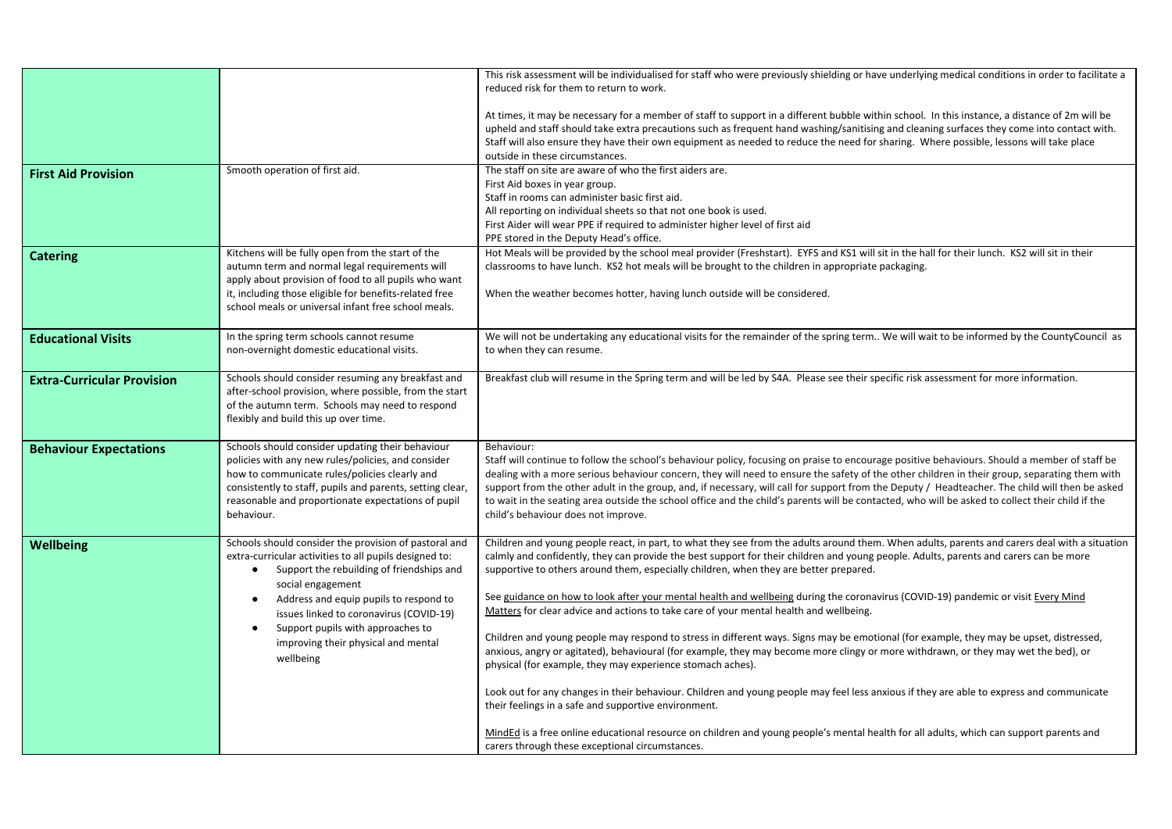|                                   |                                                                                                                | This risk assessment will be individualised for staff who were previously shielding or have underlying medical conditions in order to facilitate a                                                                                                                                                                                                                                                                                                                        |
|-----------------------------------|----------------------------------------------------------------------------------------------------------------|---------------------------------------------------------------------------------------------------------------------------------------------------------------------------------------------------------------------------------------------------------------------------------------------------------------------------------------------------------------------------------------------------------------------------------------------------------------------------|
|                                   |                                                                                                                | reduced risk for them to return to work.                                                                                                                                                                                                                                                                                                                                                                                                                                  |
|                                   |                                                                                                                | At times, it may be necessary for a member of staff to support in a different bubble within school. In this instance, a distance of 2m will be<br>upheld and staff should take extra precautions such as frequent hand washing/sanitising and cleaning surfaces they come into contact with.<br>Staff will also ensure they have their own equipment as needed to reduce the need for sharing. Where possible, lessons will take place<br>outside in these circumstances. |
| <b>First Aid Provision</b>        | Smooth operation of first aid.                                                                                 | The staff on site are aware of who the first aiders are.                                                                                                                                                                                                                                                                                                                                                                                                                  |
|                                   |                                                                                                                | First Aid boxes in year group.                                                                                                                                                                                                                                                                                                                                                                                                                                            |
|                                   |                                                                                                                | Staff in rooms can administer basic first aid.<br>All reporting on individual sheets so that not one book is used.                                                                                                                                                                                                                                                                                                                                                        |
|                                   |                                                                                                                | First Aider will wear PPE if required to administer higher level of first aid                                                                                                                                                                                                                                                                                                                                                                                             |
|                                   |                                                                                                                | PPE stored in the Deputy Head's office.                                                                                                                                                                                                                                                                                                                                                                                                                                   |
| <b>Catering</b>                   | Kitchens will be fully open from the start of the                                                              | Hot Meals will be provided by the school meal provider (Freshstart). EYFS and KS1 will sit in the hall for their lunch. KS2 will sit in their                                                                                                                                                                                                                                                                                                                             |
|                                   | autumn term and normal legal requirements will                                                                 | classrooms to have lunch. KS2 hot meals will be brought to the children in appropriate packaging.                                                                                                                                                                                                                                                                                                                                                                         |
|                                   | apply about provision of food to all pupils who want<br>it, including those eligible for benefits-related free | When the weather becomes hotter, having lunch outside will be considered.                                                                                                                                                                                                                                                                                                                                                                                                 |
|                                   | school meals or universal infant free school meals.                                                            |                                                                                                                                                                                                                                                                                                                                                                                                                                                                           |
|                                   |                                                                                                                |                                                                                                                                                                                                                                                                                                                                                                                                                                                                           |
| <b>Educational Visits</b>         | In the spring term schools cannot resume                                                                       | We will not be undertaking any educational visits for the remainder of the spring term We will wait to be informed by the CountyCouncil as                                                                                                                                                                                                                                                                                                                                |
|                                   | non-overnight domestic educational visits.                                                                     | to when they can resume.                                                                                                                                                                                                                                                                                                                                                                                                                                                  |
| <b>Extra-Curricular Provision</b> | Schools should consider resuming any breakfast and                                                             | Breakfast club will resume in the Spring term and will be led by S4A. Please see their specific risk assessment for more information.                                                                                                                                                                                                                                                                                                                                     |
|                                   | after-school provision, where possible, from the start                                                         |                                                                                                                                                                                                                                                                                                                                                                                                                                                                           |
|                                   | of the autumn term. Schools may need to respond                                                                |                                                                                                                                                                                                                                                                                                                                                                                                                                                                           |
|                                   | flexibly and build this up over time.                                                                          |                                                                                                                                                                                                                                                                                                                                                                                                                                                                           |
|                                   | Schools should consider updating their behaviour                                                               | Behaviour:                                                                                                                                                                                                                                                                                                                                                                                                                                                                |
| <b>Behaviour Expectations</b>     | policies with any new rules/policies, and consider                                                             | Staff will continue to follow the school's behaviour policy, focusing on praise to encourage positive behaviours. Should a member of staff be                                                                                                                                                                                                                                                                                                                             |
|                                   | how to communicate rules/policies clearly and                                                                  | dealing with a more serious behaviour concern, they will need to ensure the safety of the other children in their group, separating them with                                                                                                                                                                                                                                                                                                                             |
|                                   | consistently to staff, pupils and parents, setting clear,                                                      | support from the other adult in the group, and, if necessary, will call for support from the Deputy / Headteacher. The child will then be asked                                                                                                                                                                                                                                                                                                                           |
|                                   | reasonable and proportionate expectations of pupil<br>behaviour.                                               | to wait in the seating area outside the school office and the child's parents will be contacted, who will be asked to collect their child if the<br>child's behaviour does not improve.                                                                                                                                                                                                                                                                                   |
|                                   |                                                                                                                |                                                                                                                                                                                                                                                                                                                                                                                                                                                                           |
| Wellbeing                         | Schools should consider the provision of pastoral and                                                          | Children and young people react, in part, to what they see from the adults around them. When adults, parents and carers deal with a situation                                                                                                                                                                                                                                                                                                                             |
|                                   | extra-curricular activities to all pupils designed to:                                                         | calmly and confidently, they can provide the best support for their children and young people. Adults, parents and carers can be more                                                                                                                                                                                                                                                                                                                                     |
|                                   | Support the rebuilding of friendships and<br>$\bullet$                                                         | supportive to others around them, especially children, when they are better prepared.                                                                                                                                                                                                                                                                                                                                                                                     |
|                                   | social engagement<br>Address and equip pupils to respond to<br>$\bullet$                                       | See guidance on how to look after your mental health and wellbeing during the coronavirus (COVID-19) pandemic or visit Every Mind                                                                                                                                                                                                                                                                                                                                         |
|                                   | issues linked to coronavirus (COVID-19)                                                                        | Matters for clear advice and actions to take care of your mental health and wellbeing.                                                                                                                                                                                                                                                                                                                                                                                    |
|                                   | Support pupils with approaches to<br>$\bullet$                                                                 |                                                                                                                                                                                                                                                                                                                                                                                                                                                                           |
|                                   | improving their physical and mental                                                                            | Children and young people may respond to stress in different ways. Signs may be emotional (for example, they may be upset, distressed,                                                                                                                                                                                                                                                                                                                                    |
|                                   | wellbeing                                                                                                      | anxious, angry or agitated), behavioural (for example, they may become more clingy or more withdrawn, or they may wet the bed), or<br>physical (for example, they may experience stomach aches).                                                                                                                                                                                                                                                                          |
|                                   |                                                                                                                |                                                                                                                                                                                                                                                                                                                                                                                                                                                                           |
|                                   |                                                                                                                | Look out for any changes in their behaviour. Children and young people may feel less anxious if they are able to express and communicate                                                                                                                                                                                                                                                                                                                                  |
|                                   |                                                                                                                | their feelings in a safe and supportive environment.                                                                                                                                                                                                                                                                                                                                                                                                                      |
|                                   |                                                                                                                | MindEd is a free online educational resource on children and young people's mental health for all adults, which can support parents and                                                                                                                                                                                                                                                                                                                                   |
|                                   |                                                                                                                | carers through these exceptional circumstances.                                                                                                                                                                                                                                                                                                                                                                                                                           |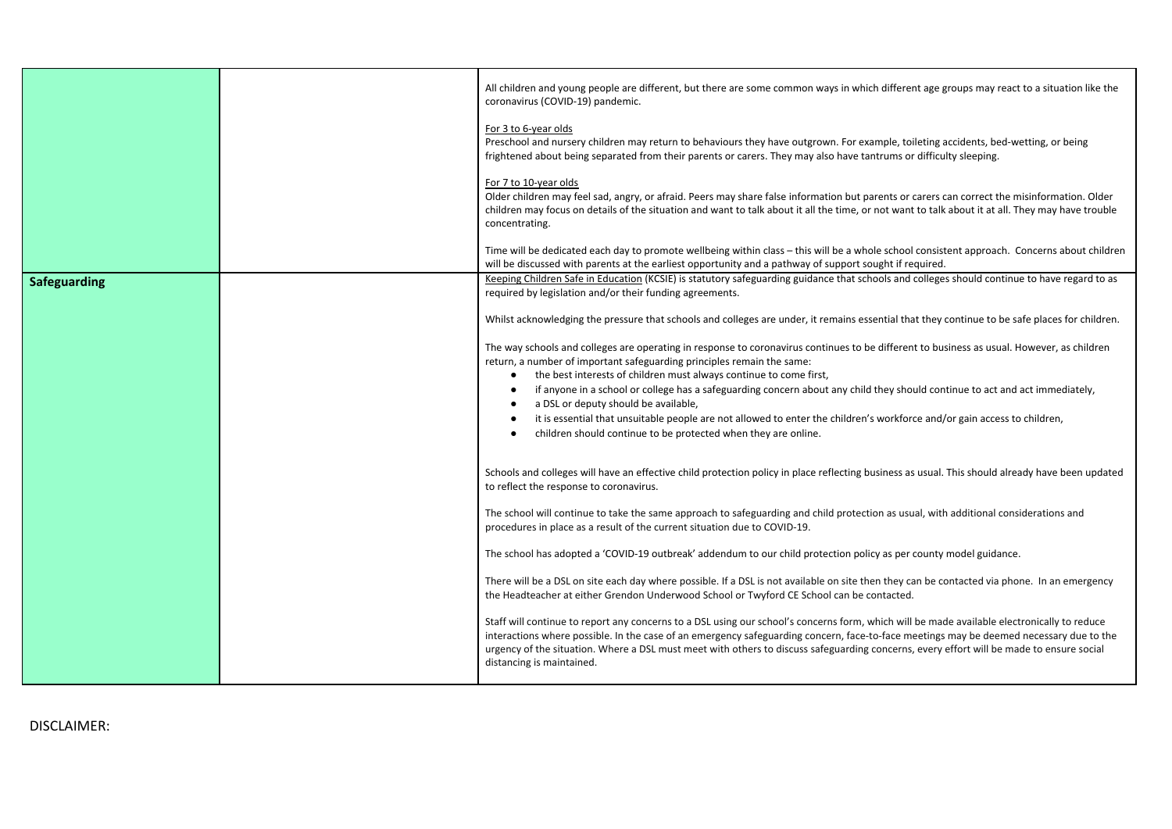|              | All children and young people are different, but there are some common ways in which different age groups may react to a situation like the<br>coronavirus (COVID-19) pandemic.                                                                                                                                                                                                                                                                                 |
|--------------|-----------------------------------------------------------------------------------------------------------------------------------------------------------------------------------------------------------------------------------------------------------------------------------------------------------------------------------------------------------------------------------------------------------------------------------------------------------------|
|              | For 3 to 6-year olds<br>Preschool and nursery children may return to behaviours they have outgrown. For example, toileting accidents, bed-wetting, or being<br>frightened about being separated from their parents or carers. They may also have tantrums or difficulty sleeping.                                                                                                                                                                               |
|              | For 7 to 10-year olds<br>Older children may feel sad, angry, or afraid. Peers may share false information but parents or carers can correct the misinformation. Older<br>children may focus on details of the situation and want to talk about it all the time, or not want to talk about it at all. They may have trouble<br>concentrating.                                                                                                                    |
|              | Time will be dedicated each day to promote wellbeing within class - this will be a whole school consistent approach. Concerns about children<br>will be discussed with parents at the earliest opportunity and a pathway of support sought if required.                                                                                                                                                                                                         |
| Safeguarding | Keeping Children Safe in Education (KCSIE) is statutory safeguarding guidance that schools and colleges should continue to have regard to as<br>required by legislation and/or their funding agreements.                                                                                                                                                                                                                                                        |
|              | Whilst acknowledging the pressure that schools and colleges are under, it remains essential that they continue to be safe places for children.                                                                                                                                                                                                                                                                                                                  |
|              | The way schools and colleges are operating in response to coronavirus continues to be different to business as usual. However, as children<br>return, a number of important safeguarding principles remain the same:<br>the best interests of children must always continue to come first,<br>$\bullet$                                                                                                                                                         |
|              | if anyone in a school or college has a safeguarding concern about any child they should continue to act and act immediately,<br>$\bullet$<br>a DSL or deputy should be available,<br>$\bullet$                                                                                                                                                                                                                                                                  |
|              | it is essential that unsuitable people are not allowed to enter the children's workforce and/or gain access to children,<br>$\bullet$<br>children should continue to be protected when they are online.<br>$\bullet$                                                                                                                                                                                                                                            |
|              | Schools and colleges will have an effective child protection policy in place reflecting business as usual. This should already have been updated<br>to reflect the response to coronavirus.                                                                                                                                                                                                                                                                     |
|              | The school will continue to take the same approach to safeguarding and child protection as usual, with additional considerations and<br>procedures in place as a result of the current situation due to COVID-19.                                                                                                                                                                                                                                               |
|              | The school has adopted a 'COVID-19 outbreak' addendum to our child protection policy as per county model guidance.                                                                                                                                                                                                                                                                                                                                              |
|              | There will be a DSL on site each day where possible. If a DSL is not available on site then they can be contacted via phone. In an emergency<br>the Headteacher at either Grendon Underwood School or Twyford CE School can be contacted.                                                                                                                                                                                                                       |
|              | Staff will continue to report any concerns to a DSL using our school's concerns form, which will be made available electronically to reduce<br>interactions where possible. In the case of an emergency safeguarding concern, face-to-face meetings may be deemed necessary due to the<br>urgency of the situation. Where a DSL must meet with others to discuss safeguarding concerns, every effort will be made to ensure social<br>distancing is maintained. |